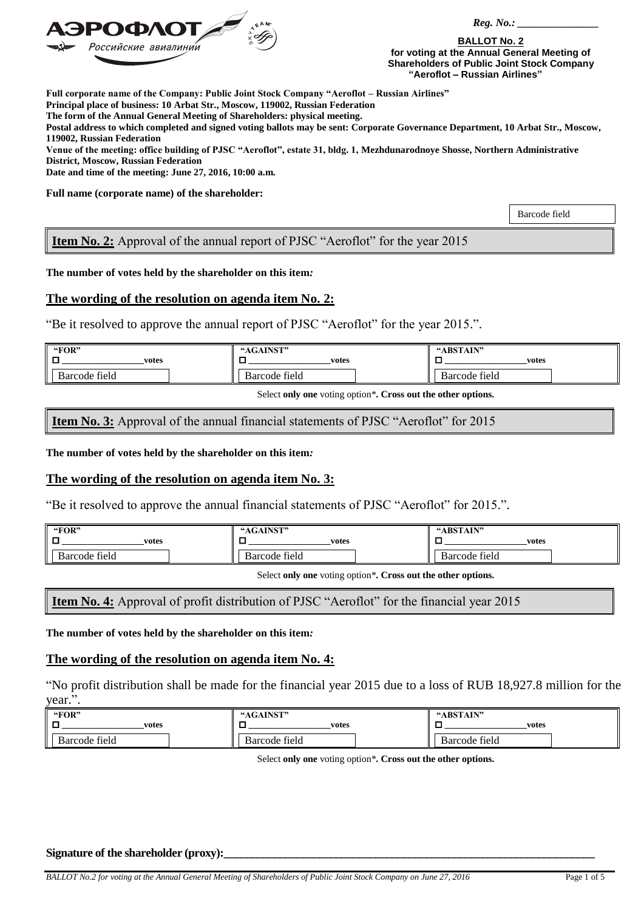

 *Reg. No.: \_\_\_\_\_\_\_\_\_\_\_\_\_\_\_*

**BALLOT No. 2 for voting at the Annual General Meeting of Shareholders of Public Joint Stock Company "Aeroflot – Russian Airlines"**

**Full corporate name of the Company: Public Joint Stock Company "Aeroflot – Russian Airlines"**

**Principal place of business: 10 Arbat Str., Moscow, 119002, Russian Federation**

**The form of the Annual General Meeting of Shareholders: physical meeting.**

**Postal address to which completed and signed voting ballots may be sent: Corporate Governance Department, 10 Arbat Str., Moscow, 119002, Russian Federation**

**Venue of the meeting: office building of PJSC "Aeroflot", estate 31, bldg. 1, Mezhdunarodnoye Shosse, Northern Administrative District, Moscow, Russian Federation**

**Date and time of the meeting: June 27, 2016, 10:00 a.m.**

**Full name (corporate name) of the shareholder:**

Barcode field

**Item No. 2:** Approval of the annual report of PJSC "Aeroflot" for the year 2015

**The number of votes held by the shareholder on this item***:* 

# **The wording of the resolution on agenda item No. 2:**

"Be it resolved to approve the annual report of PJSC "Aeroflot" for the year 2015.".

| "FOR"<br>1 O<br>votes | "AGAINST"<br>votes | "ABSTAIN"<br>votes |
|-----------------------|--------------------|--------------------|
| Barcode field         | Barcode field      | Barcode field      |

Select **only one** voting option\***. Cross out the other options.**

**Item No. 3:** Approval of the annual financial statements of PJSC "Aeroflot" for 2015

**The number of votes held by the shareholder on this item***:* 

# **The wording of the resolution on agenda item No. 3:**

"Be it resolved to approve the annual financial statements of PJSC "Aeroflot" for 2015.".

| "FOR"         | "AGAINST"     | "ABSTAIN"     |
|---------------|---------------|---------------|
| votes         | votes         | votes         |
| Barcode field | Barcode field | Barcode field |

Select **only one** voting option\***. Cross out the other options.**

**Item No. 4:** Approval of profit distribution of PJSC "Aeroflot" for the financial year 2015

**The number of votes held by the shareholder on this item***:* 

## **The wording of the resolution on agenda item No. 4:**

"No profit distribution shall be made for the financial year 2015 due to a loss of RUB 18,927.8 million for the year.".

| "FOR"            | "ACAINST"     | "ABSTAIN"        |
|------------------|---------------|------------------|
| ┍<br>votes       | votes         | votes            |
| Barcode<br>tield | Barcode field | Barcode<br>tield |

Select **only one** voting option\***. Cross out the other options.**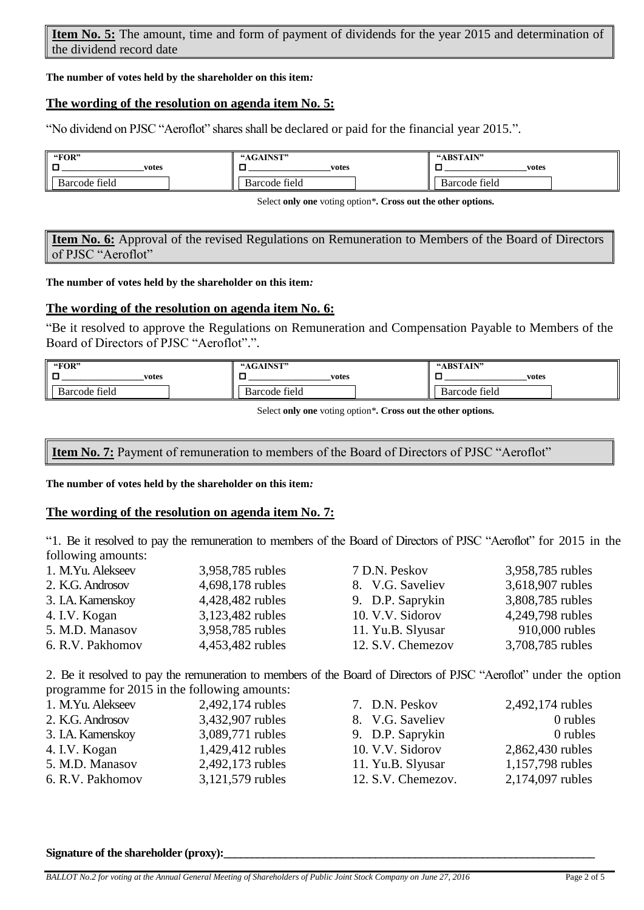**Item No. 5:** The amount, time and form of payment of dividends for the year 2015 and determination of the dividend record date

**The number of votes held by the shareholder on this item***:* 

# **The wording of the resolution on agenda item No. 5:**

"No dividend on PJSC "Aeroflot" shares shall be declared or paid for the financial year 2015.".

| "FOR"         | "AGAINST"     | "ABSTAIN"               |
|---------------|---------------|-------------------------|
| votes         | votes         | votes                   |
| Barcode field | Barcode field | $\sim$<br>Barcode field |

Select **only one** voting option\***. Cross out the other options.**

**Item No. 6:** Approval of the revised Regulations on Remuneration to Members of the Board of Directors of PJSC "Aeroflot"

## **The number of votes held by the shareholder on this item***:*

# **The wording of the resolution on agenda item No. 6:**

"Be it resolved to approve the Regulations on Remuneration and Compensation Payable to Members of the Board of Directors of PJSC "Aeroflot".".

| "FOR"            | "AGAINST"     | "ABSTAIN"                  |
|------------------|---------------|----------------------------|
| votes            | votes         | votes                      |
| field<br>Barcode | Barcode field | $\sim$<br>tield<br>Barcode |

Select **only one** voting option\***. Cross out the other options.**

**Item No. 7:** Payment of remuneration to members of the Board of Directors of PJSC "Aeroflot"

**The number of votes held by the shareholder on this item***:* 

## **The wording of the resolution on agenda item No. 7:**

"1. Be it resolved to pay the remuneration to members of the Board of Directors of PJSC "Aeroflot" for 2015 in the following amounts:

| 1. M.Yu. Alekseev | 3,958,785 rubles | 7 D.N. Peskov     | 3,958,785 rubles |
|-------------------|------------------|-------------------|------------------|
| 2. K.G. Androsov  | 4,698,178 rubles | 8. V.G. Saveliev  | 3,618,907 rubles |
| 3. I.A. Kamenskoy | 4,428,482 rubles | 9. D.P. Saprykin  | 3,808,785 rubles |
| 4. I.V. Kogan     | 3,123,482 rubles | 10. V.V. Sidorov  | 4,249,798 rubles |
| 5. M.D. Manasov   | 3,958,785 rubles | 11. Yu.B. Slyusar | 910,000 rubles   |
| 6. R.V. Pakhomov  | 4,453,482 rubles | 12. S.V. Chemezov | 3,708,785 rubles |

2. Be it resolved to pay the remuneration to members of the Board of Directors of PJSC "Aeroflot" under the option programme for 2015 in the following amounts:

| 1. M.Yu. Alekseev | 2,492,174 rubles | 7. D.N. Peskov     | 2,492,174 rubles |
|-------------------|------------------|--------------------|------------------|
| 2. K.G. Androsov  | 3,432,907 rubles | 8. V.G. Saveliev   | 0 rubles         |
| 3. I.A. Kamenskoy | 3,089,771 rubles | 9. D.P. Saprykin   | 0 rubles         |
| 4. I.V. Kogan     | 1,429,412 rubles | 10. V.V. Sidorov   | 2,862,430 rubles |
| 5. M.D. Manasov   | 2,492,173 rubles | 11. Yu.B. Slyusar  | 1,157,798 rubles |
| 6. R.V. Pakhomov  | 3,121,579 rubles | 12. S.V. Chemezov. | 2,174,097 rubles |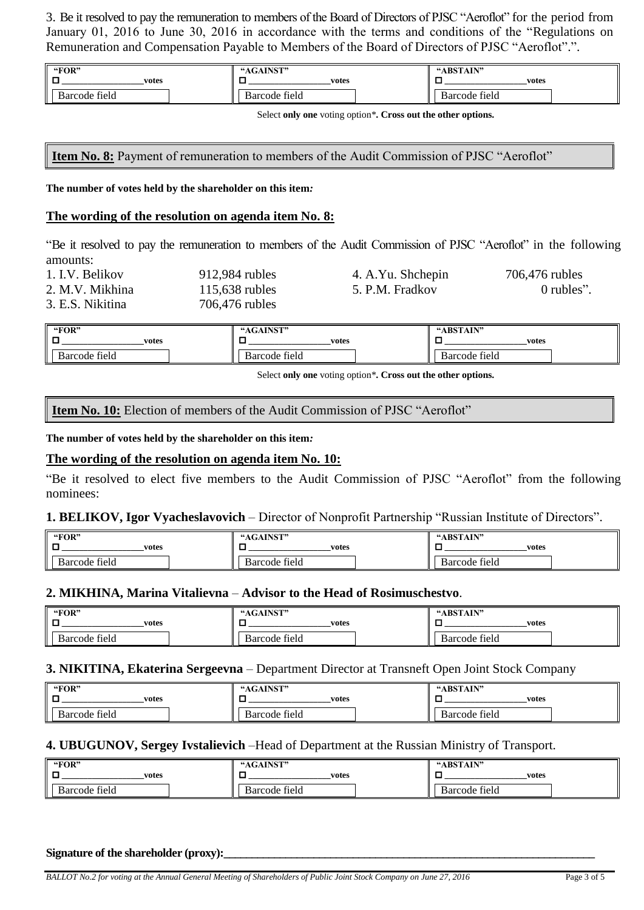3. Be it resolved to pay the remuneration to members of the Board of Directors of PJSC "Aeroflot" for the period from January 01, 2016 to June 30, 2016 in accordance with the terms and conditions of the "Regulations on Remuneration and Compensation Payable to Members of the Board of Directors of PJSC "Aeroflot".".

| "FOR"                      | <b>"AGAINST"</b> | "ABSTAIN"                  |
|----------------------------|------------------|----------------------------|
| votes                      | votes            | votes                      |
| $\sim$ 11<br>Barcode field | Barcode field    | $\sim$ 1.<br>Barcode field |

Select **only one** voting option\***. Cross out the other options.**

**Item No. 8:** Payment of remuneration to members of the Audit Commission of PJSC "Aeroflot"

**The number of votes held by the shareholder on this item***:* 

## **The wording of the resolution on agenda item No. 8:**

"Be it resolved to pay the remuneration to members of the Audit Commission of PJSC "Aeroflot" in the following amounts:

| 1. I.V. Belikov  | 912,984 rubles   | 4. A.Yu. Shchepin | 706,476 rubles |
|------------------|------------------|-------------------|----------------|
| 2. M.V. Mikhina  | $115,638$ rubles | 5. P.M. Fradkov   | 0 rubles".     |
| 3. E.S. Nikitina | 706,476 rubles   |                   |                |

| "FOR"                   | A INICT!!<br>$\cdot$ A C | "ABSTAIN"               |
|-------------------------|--------------------------|-------------------------|
| votes                   | votes                    | votes                   |
| $\sim$<br>Barcode field | $\sim$<br>Barcode field  | $\sim$<br>Barcode field |

Select **only one** voting option\***. Cross out the other options.**

**Item No. 10:** Election of members of the Audit Commission of PJSC "Aeroflot"

**The number of votes held by the shareholder on this item***:* 

## **The wording of the resolution on agenda item No. 10:**

"Be it resolved to elect five members to the Audit Commission of PJSC "Aeroflot" from the following nominees:

## **1. BELIKOV, Igor Vyacheslavovich** – Director of Nonprofit Partnership "Russian Institute of Directors".

| "FOR"            | <b>A TAICT'S</b><br>GAP | "ARSTAIN"        |
|------------------|-------------------------|------------------|
| votes            | votes                   | votes            |
| tield<br>Barcode | Barcode field           | tield<br>Barcode |

## **2. MIKHINA, Marina Vitalievna** – **Advisor to the Head of Rosimuschestvo**.

| "FOR"         | "AGAINST"     | "ABSTAIN"     |
|---------------|---------------|---------------|
| votes         | votes         | votes         |
| Barcode field | Barcode field | Barcode field |

## **3. NIKITINA, Ekaterina Sergeevna** – Department Director at Transneft Open Joint Stock Company

| "FOR"         | "AGAINST"                  | "ABSTAIN"                  |
|---------------|----------------------------|----------------------------|
| votes         | votes                      | votes                      |
| Barcode field | $\sim$ 11<br>Barcode field | $\sim$ 11<br>Barcode field |

## **4. UBUGUNOV, Sergey Ivstalievich** –Head of Department at the Russian Ministry of Transport.

| "FOR"                            | "AGAINST"                      | "ABSTAIN"                  |
|----------------------------------|--------------------------------|----------------------------|
| votes                            | votes                          | votes                      |
| C <sub>11</sub><br>Barcode field | $\sim$ $\sim$<br>Barcode field | $\sim$ 11<br>Barcode field |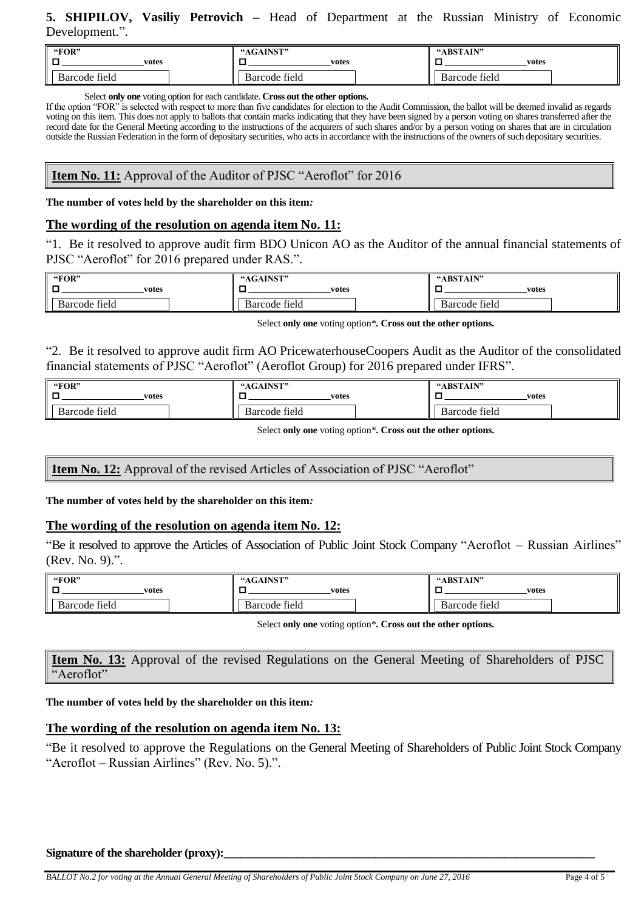# **5. SHIPILOV, Vasiliy Petrovich –** Head of Department at the Russian Ministry of Economic Development.".

| "FOR"         | "AGAINST"                      | "ABSTAIN"                  |
|---------------|--------------------------------|----------------------------|
| votes         | votes                          | votes                      |
| Barcode field | $\sim$ $\sim$<br>Barcode field | $\sim$ 11<br>Barcode field |

Select **only one** voting option for each candidate. **Cross out the other options.**

If the option "FOR" is selected with respect to more than five candidates for election to the Audit Commission, the ballot will be deemed invalid as regards voting on this item. This does not apply to ballots that contain marks indicating that they have been signed by a person voting on shares transferred after the record date for the General Meeting according to the instructions of the acquirers of such shares and/or by a person voting on shares that are in circulation outside the Russian Federation in the form of depositary securities, who acts in accordance with the instructions of the owners of such depositary securities.

# **Item No. 11:** Approval of the Auditor of PJSC "Aeroflot" for 2016

**The number of votes held by the shareholder on this item***:* 

# **The wording of the resolution on agenda item No. 11:**

"1. Be it resolved to approve audit firm BDO Unicon AO as the Auditor of the annual financial statements of PJSC "Aeroflot" for 2016 prepared under RAS.".

| "FOR"         | "AGAINST"     | "ABSTAIN"                 |
|---------------|---------------|---------------------------|
| votes         | votes         | votes                     |
| Barcode field | Barcode field | $\sim$ 1<br>Barcode field |

Select **only one** voting option\***. Cross out the other options.**

"2. Be it resolved to approve audit firm AO PricewaterhouseCoopers Audit as the Auditor of the consolidated financial statements of PJSC "Aeroflot" (Aeroflot Group) for 2016 prepared under IFRS".

| "FOR"                      | "AGAINST"     | "ABSTAIN"                  |
|----------------------------|---------------|----------------------------|
| votes                      | votes         | votes                      |
| $\sim$ 11<br>Barcode field | Barcode field | $\sim$ 1.<br>Barcode field |

Select **only one** voting option\***. Cross out the other options.**

**Item No. 12:** Approval of the revised Articles of Association of PJSC "Aeroflot"

**The number of votes held by the shareholder on this item***:* 

# **The wording of the resolution on agenda item No. 12:**

"Be it resolved to approve the Articles of Association of Public Joint Stock Company "Aeroflot – Russian Airlines" (Rev. No. 9).".

| "FOR"         | A INICT!<br>$-4C$           | "ABSTAIN"     |
|---------------|-----------------------------|---------------|
| votes         | votes                       | votes         |
| Barcode field | $\sim$<br>tield:<br>sarcode | Barcode field |

Select **only one** voting option\***. Cross out the other options.**

**Item No. 13:** Approval of the revised Regulations on the General Meeting of Shareholders of PJSC "Aeroflot"

**The number of votes held by the shareholder on this item***:* 

## **The wording of the resolution on agenda item No. 13:**

"Be it resolved to approve the Regulations on the General Meeting of Shareholders of Public Joint Stock Company "Aeroflot – Russian Airlines" (Rev. No. 5).".